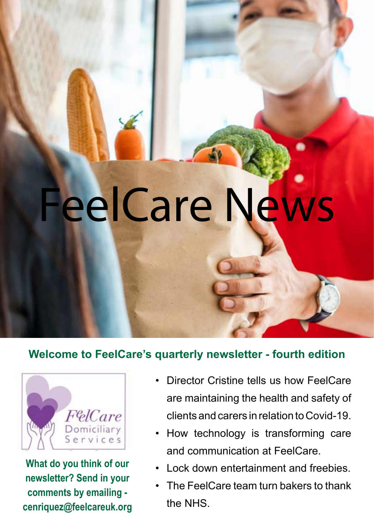## Some of the whole FeelCare News

#### **Welcome to FeelCare's quarterly newsletter - fourth edition**



**What do you think of our newsletter? Send in your comments by emailing cenriquez@feelcareuk.org**

- Director Cristine tells us how FeelCare are maintaining the health and safety of clients and carers in relation to Covid-19.
- How technology is transforming care and communication at FeelCare.
- Lock down entertainment and freebies.
- The FeelCare team turn bakers to thank the NHS.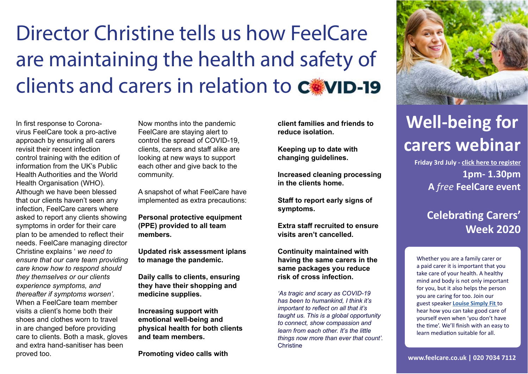In first response to Coronavirus FeelCare took a pro-active approach by ensuring all carers revisit their recent infection control training with the edition of information from the UK's Public Health Authorities and the World Health Organisation (WHO). Although we have been blessed that our clients haven't seen any infection, FeelCare carers where asked to report any clients showing symptoms in order for their care plan to be amended to reflect their needs. FeelCare managing director Christine explains ' *we need to ensure that our care team providing care know how to respond should they themselves or our clients experience symptoms, and thereafter if symptoms worsen'.* When a FeelCare team member visits a client's home both their shoes and clothes worn to travel in are changed before providing care to clients. Both a mask, gloves and extra hand-sanitiser has been proved too.

# Director Christine tells us how FeelCare are maintaining the health and safety of clients and carers in relation to C.WID-19

Now months into the pandemic FeelCare are staying alert to control the spread of COVID-19, clients, carers and staff alike are looking at new ways to support each other and give back to the community.

A snapshot of what FeelCare have implemented as extra precautions:

> *'As tragic and scary as COVID-19 has been to humankind, I think it's important to reflect on all that it's taught us. This is a global opportunity to connect, show compassion and learn from each other. It's the little things now more than ever that count'.* **Christine**



**Personal protective equipment (PPE) provided to all team members.**

**Updated risk assessment iplans to manage the pandemic.**

**Daily calls to clients, ensuring they have their shopping and medicine supplies.** 

**Increasing support with emotional well-being and physical health for both clients and team members.** 

**Promoting video calls with** 

**Friday 3rd July - [click here to register](https://us02web.zoom.us/j/88138155308?pwd=Z1VNYy9ueG42eHNaVFFtQ1o2TGpJdz09) 1pm- 1.30pm A** *free* **FeelCare event** 

### **Celebrating Carers' Week 2020**

# **Well-being for carers webinar**

**www.feelcare.co.uk | 020 7034 7112**

Whether you are a family carer or a paid carer it is important that you take care of your health. A healthy mind and body is not only important for you, but it also helps the person you are caring for too. Join our guest speaker **[Louise Simply Fit](https://www.louisesimplyfit.com/about)** to hear how you can take good care of yourself even when 'you don't have the time'. We'll finish with an easy to learn mediation suitable for all.

**client families and friends to reduce isolation.**

**Keeping up to date with changing guidelines.** 

**Increased cleaning processing in the clients home.**

**Staff to report early signs of symptoms.**

**Extra staff recruited to ensure visits aren't cancelled.** 

**Continuity maintained with having the same carers in the same packages you reduce risk of cross infection.**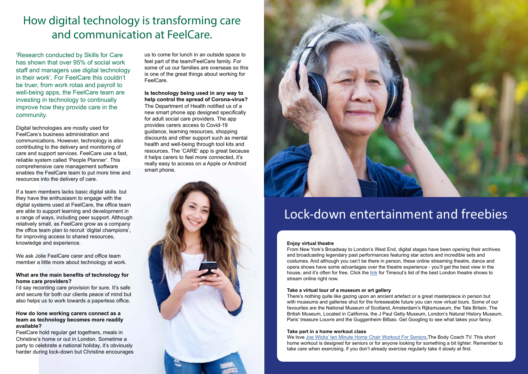### Lock-down entertainment and freebies

### How digital technology is transforming care and communication at FeelCare.

'Research conducted by Skills for Care has shown that over 95% of social work staff and managers use digital technology in their work'. For FeelCare this couldn't be truer, from work rotas and payroll to well-being apps, the FeelCare team are investing in technology to continually improve how they provide care in the community.

Digital technologies are mostly used for FeelCare's business administration and communications. However, technology is also contributing to the delivery and monitoring of care and support services. FeelCare use a fast, reliable system called 'People Planner'. This comprehensive care management software enables the FeelCare team to put more time and resources into the delivery of care.

I'd say recording care provision for sure. It's safe and secure for both our clients peace of mind but also helps us to work towards a paperless office.

If a team members lacks basic digital skills but they have the enthusiasm to engage with the digital systems used at FeelCare, the office team are able to support learning and development in a range of ways, including peer support. Although relatively small, as FeelCare grow as a company the office team plan to recruit 'digital champions', for improving access to shared resources, knowledge and experience.

We ask Jolie FeelCare carer and office team member a little more about technology at work.

#### **What are the main benefits of technology for home care providers?**

#### **How do lone working carers connect as a team as technology becomes more readily available?**

FeelCare hold regular get togethers, meals in Christine's home or out in London. Sometime a party to celebrate a national holiday, it's obviously harder during lock-down but Christine encourages

#### **Enjoy virtual theatre**

From New York's Broadway to London's West End, digital stages have been opening their archives and broadcasting legendary past performances featuring star actors and incredible sets and costumes. And although you can't be there in person, these online streaming theatre, dance and opera shows have some advantages over the theatre experience - you'll get the best view in the house, and it's often for free. Click the [link](https://www.timeout.com/london/theatre/the-best-theatre-shows-to-stream-online-right-now) for Timeout's list of the best London theatre shows to stream online right now.

#### **Take a virtual tour of a museum or art gallery**

There's nothing quite like gazing upon an ancient artefact or a great masterpiece in person but with museums and galleries shut for the foreseeable future you can now virtual tours. Some of our favourites are the National Museum of Scotland, Amsterdam's Rijksmuseum, the Tate Britain, The British Museum, Located in California, the J Paul Getty Museum, London's Natural History Museum, Paris' treasure Louvre and the Guggenheim Bilbao. Get Googling to see what takes your fancy.

#### **Take part in a home workout class**

We love [Joe Wicks' ten Minute Home Chair Workout For Seniors](https://www.bing.com/videos/search?q=joe+wicks%e2%80%99+ten+minute+home+chair+workout+for+seniors&&view=detail&mid=F8E3153B09784488B1A5F8E3153B09784488B1A5&&FORM=VRDGAR&ru=%2Fvideos%2Fsearch%3Fq%3Djoe%2Bwicks%25e2%2580%2599%2Bten%2Bminute%2Bhome%2Bchair%2Bworkout%2Bfor%2Bseniors%26qpvt%3Djoe%2Bwicks%25e2%2580%2599%2Bten%2Bminute%2Bhome%2Bchair%2Bworkout%2Bfor%2Bseniors%26FORM%3DVDRE),The Body Coach TV. This short home workout is designed for seniors or for anyone looking for something a bit lighter. Remember to take care when exercising, if you don't already exercise regularly take it slowly at first.

us to come for lunch in an outside space to feel part of the team/FeelCare family. For some of us our families are overseas so this is one of the great things about working for FeelCare.

#### **Is technology being used in any way to help control the spread of Corona-virus?**

The Department of Health notified us of a new smart phone app designed specifically for adult social care providers. The app provides carers access to Covid-19 guidance, learning resources, shopping discounts and other support such as mental health and well-being through tool kits and resources. The 'CARE' app is great because it helps carers to feel more connected, it's really easy to access on a Apple or Android smart phone.



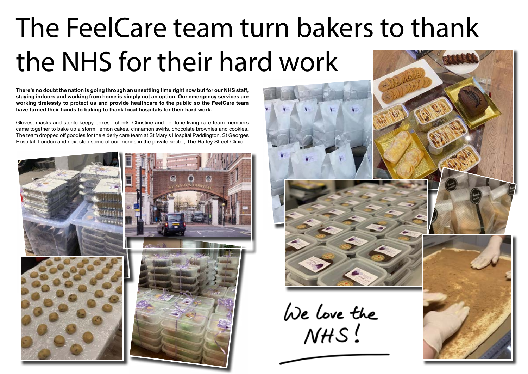# The FeelCare team turn bakers to thank the NHS for their hard work

**There's no doubt the nation is going through an unsettling time right now but for our NHS staff, staying indoors and working from home is simply not an option. Our emergency services are working tirelessly to protect us and provide healthcare to the public so the FeelCare team have turned their hands to baking to thank local hospitals for their hard work.** 

Gloves, masks and sterile keepy boxes - check. Christine and her lone-living care team members came together to bake up a storm; lemon cakes, cinnamon swirls, chocolate brownies and cookies. The team dropped off goodies for the elderly care team at St Mary's Hospital Paddington, St Georges Hospital, London and next stop some of our friends in the private sector, The Harley Street Clinic.